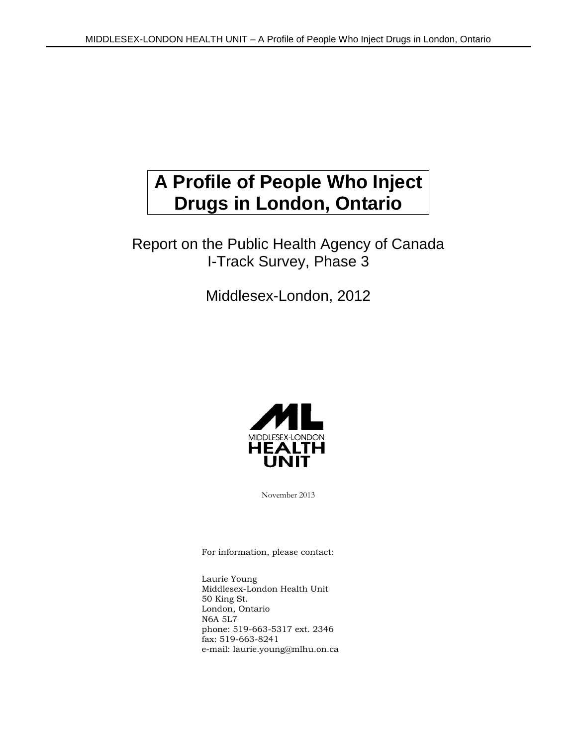# **A Profile of People Who Inject Drugs in London, Ontario**

### Report on the Public Health Agency of Canada I-Track Survey, Phase 3

Middlesex-London, 2012



November 2013

For information, please contact:

Laurie Young Middlesex-London Health Unit 50 King St. London, Ontario N6A 5L7 phone: 519-663-5317 ext. 2346 fax: 519-663-8241 e-mail: laurie.young@mlhu.on.ca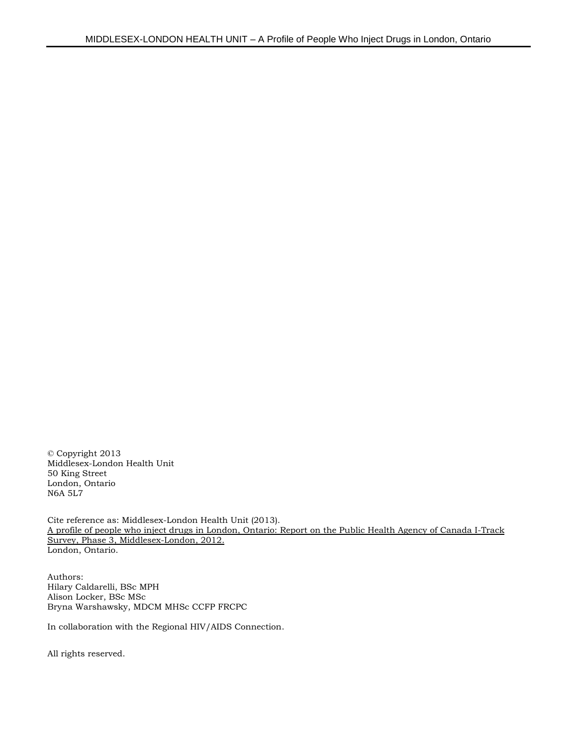© Copyright 2013 Middlesex-London Health Unit 50 King Street London, Ontario N6A 5L7

Cite reference as: Middlesex-London Health Unit (2013). A profile of people who inject drugs in London, Ontario: Report on the Public Health Agency of Canada I-Track Survey, Phase 3, Middlesex-London, 2012. London, Ontario.

Authors: Hilary Caldarelli, BSc MPH Alison Locker, BSc MSc Bryna Warshawsky, MDCM MHSc CCFP FRCPC

In collaboration with the Regional HIV/AIDS Connection.

All rights reserved.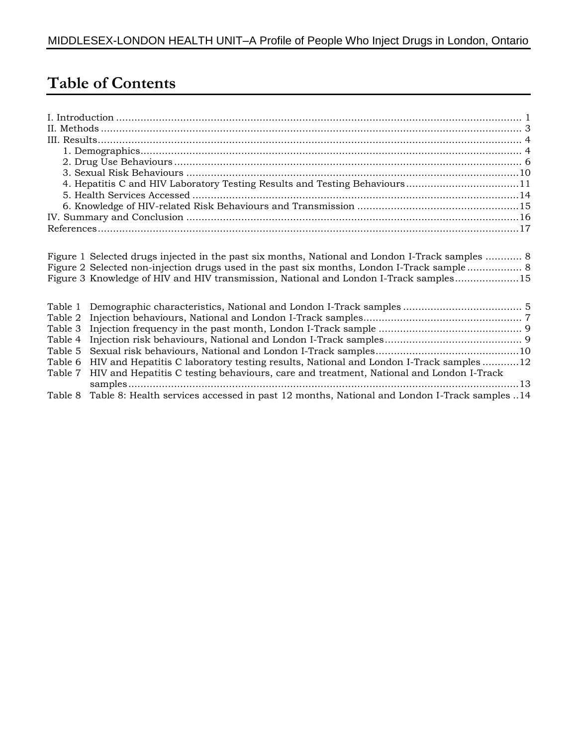## **Table of Contents**

| 4. Hepatitis C and HIV Laboratory Testing Results and Testing Behaviours11 |  |
|----------------------------------------------------------------------------|--|
|                                                                            |  |
|                                                                            |  |
|                                                                            |  |
|                                                                            |  |
|                                                                            |  |

|         | Figure 1 Selected drugs injected in the past six months, National and London I-Track samples  8     |  |
|---------|-----------------------------------------------------------------------------------------------------|--|
|         |                                                                                                     |  |
|         | Figure 3 Knowledge of HIV and HIV transmission, National and London I-Track samples15               |  |
|         |                                                                                                     |  |
|         |                                                                                                     |  |
|         |                                                                                                     |  |
|         |                                                                                                     |  |
|         |                                                                                                     |  |
|         |                                                                                                     |  |
|         | Table 6 HIV and Hepatitis C laboratory testing results, National and London I-Track samples 12      |  |
| Table 7 | HIV and Hepatitis C testing behaviours, care and treatment, National and London I-Track             |  |
|         |                                                                                                     |  |
|         | Table 8 Table 8: Health services accessed in past 12 months, National and London I-Track samples 14 |  |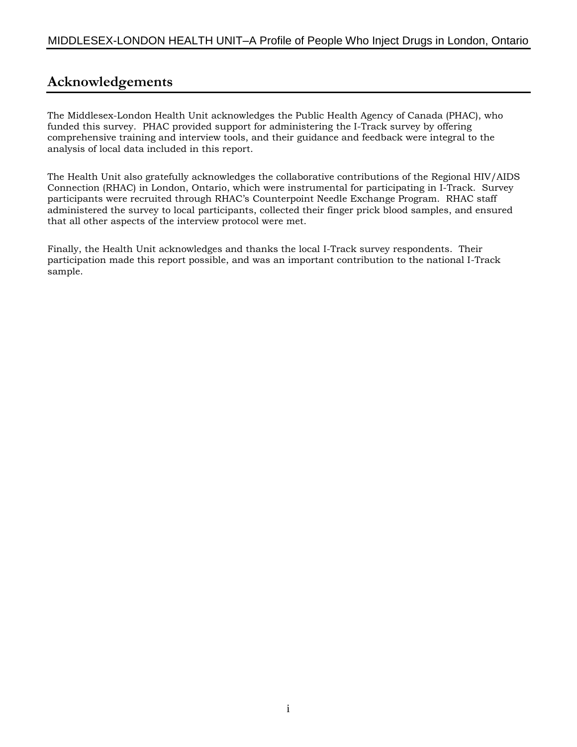### **Acknowledgements**

The Middlesex-London Health Unit acknowledges the Public Health Agency of Canada (PHAC), who funded this survey. PHAC provided support for administering the I-Track survey by offering comprehensive training and interview tools, and their guidance and feedback were integral to the analysis of local data included in this report.

The Health Unit also gratefully acknowledges the collaborative contributions of the Regional HIV/AIDS Connection (RHAC) in London, Ontario, which were instrumental for participating in I-Track. Survey participants were recruited through RHAC's Counterpoint Needle Exchange Program. RHAC staff administered the survey to local participants, collected their finger prick blood samples, and ensured that all other aspects of the interview protocol were met.

Finally, the Health Unit acknowledges and thanks the local I-Track survey respondents. Their participation made this report possible, and was an important contribution to the national I-Track sample.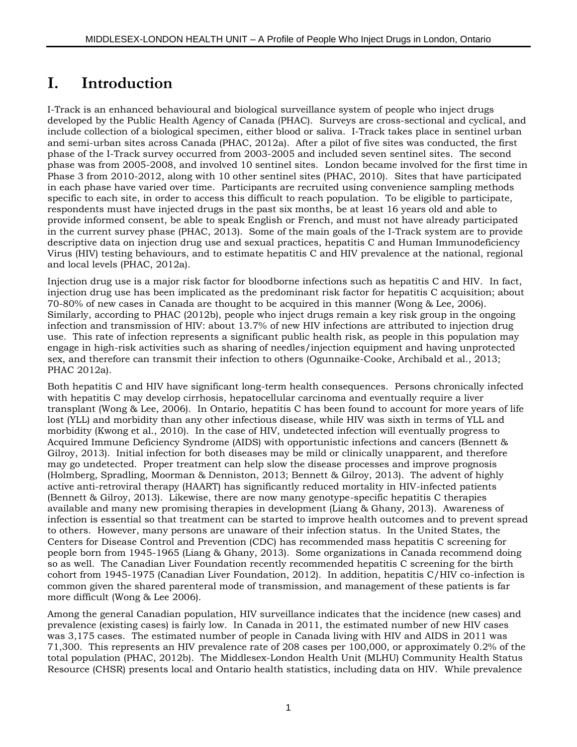## **I. Introduction**

I-Track is an enhanced behavioural and biological surveillance system of people who inject drugs developed by the Public Health Agency of Canada (PHAC). Surveys are cross-sectional and cyclical, and include collection of a biological specimen, either blood or saliva. I-Track takes place in sentinel urban and semi-urban sites across Canada (PHAC, 2012a). After a pilot of five sites was conducted, the first phase of the I-Track survey occurred from 2003-2005 and included seven sentinel sites. The second phase was from 2005-2008, and involved 10 sentinel sites. London became involved for the first time in Phase 3 from 2010-2012, along with 10 other sentinel sites (PHAC, 2010). Sites that have participated in each phase have varied over time. Participants are recruited using convenience sampling methods specific to each site, in order to access this difficult to reach population. To be eligible to participate, respondents must have injected drugs in the past six months, be at least 16 years old and able to provide informed consent, be able to speak English or French, and must not have already participated in the current survey phase (PHAC, 2013). Some of the main goals of the I-Track system are to provide descriptive data on injection drug use and sexual practices, hepatitis C and Human Immunodeficiency Virus (HIV) testing behaviours, and to estimate hepatitis C and HIV prevalence at the national, regional and local levels (PHAC, 2012a).

Injection drug use is a major risk factor for bloodborne infections such as hepatitis C and HIV. In fact, injection drug use has been implicated as the predominant risk factor for hepatitis C acquisition; about 70-80% of new cases in Canada are thought to be acquired in this manner (Wong & Lee, 2006). Similarly, according to PHAC (2012b), people who inject drugs remain a key risk group in the ongoing infection and transmission of HIV: about 13.7% of new HIV infections are attributed to injection drug use. This rate of infection represents a significant public health risk, as people in this population may engage in high-risk activities such as sharing of needles/injection equipment and having unprotected sex, and therefore can transmit their infection to others (Ogunnaike-Cooke, Archibald et al., 2013; PHAC 2012a).

Both hepatitis C and HIV have significant long-term health consequences. Persons chronically infected with hepatitis C may develop cirrhosis, hepatocellular carcinoma and eventually require a liver transplant (Wong & Lee, 2006). In Ontario, hepatitis C has been found to account for more years of life lost (YLL) and morbidity than any other infectious disease, while HIV was sixth in terms of YLL and morbidity (Kwong et al., 2010). In the case of HIV, undetected infection will eventually progress to Acquired Immune Deficiency Syndrome (AIDS) with opportunistic infections and cancers (Bennett & Gilroy, 2013). Initial infection for both diseases may be mild or clinically unapparent, and therefore may go undetected. Proper treatment can help slow the disease processes and improve prognosis (Holmberg, Spradling, Moorman & Denniston, 2013; Bennett & Gilroy, 2013). The advent of highly active anti-retroviral therapy (HAART) has significantly reduced mortality in HIV-infected patients (Bennett & Gilroy, 2013). Likewise, there are now many genotype-specific hepatitis C therapies available and many new promising therapies in development (Liang & Ghany, 2013). Awareness of infection is essential so that treatment can be started to improve health outcomes and to prevent spread to others. However, many persons are unaware of their infection status. In the United States, the Centers for Disease Control and Prevention (CDC) has recommended mass hepatitis C screening for people born from 1945-1965 (Liang & Ghany, 2013). Some organizations in Canada recommend doing so as well. The Canadian Liver Foundation recently recommended hepatitis C screening for the birth cohort from 1945-1975 (Canadian Liver Foundation, 2012). In addition, hepatitis C/HIV co-infection is common given the shared parenteral mode of transmission, and management of these patients is far more difficult (Wong & Lee 2006).

Among the general Canadian population, HIV surveillance indicates that the incidence (new cases) and prevalence (existing cases) is fairly low. In Canada in 2011, the estimated number of new HIV cases was 3,175 cases. The estimated number of people in Canada living with HIV and AIDS in 2011 was 71,300. This represents an HIV prevalence rate of 208 cases per 100,000, or approximately 0.2% of the total population (PHAC, 2012b). The Middlesex-London Health Unit (MLHU) Community Health Status Resource (CHSR) presents local and Ontario health statistics, including data on HIV. While prevalence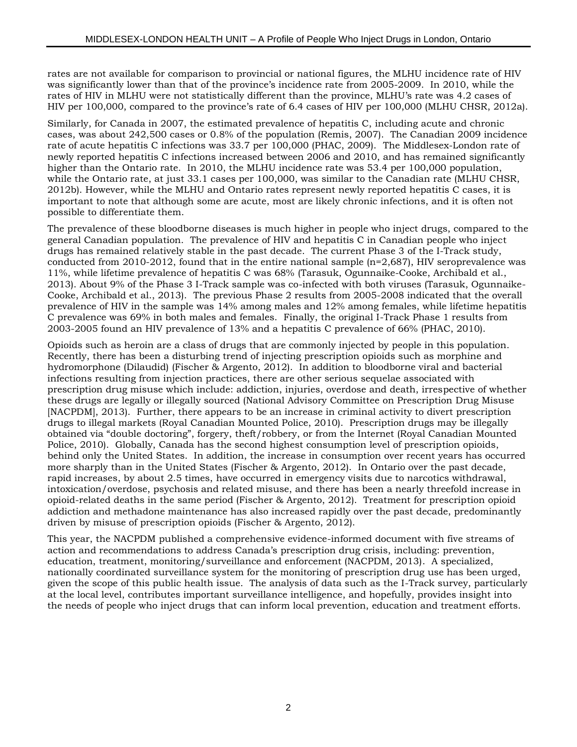rates are not available for comparison to provincial or national figures, the MLHU incidence rate of HIV was significantly lower than that of the province's incidence rate from 2005-2009. In 2010, while the rates of HIV in MLHU were not statistically different than the province, MLHU's rate was 4.2 cases of HIV per 100,000, compared to the province's rate of 6.4 cases of HIV per 100,000 (MLHU CHSR, 2012a).

Similarly, for Canada in 2007, the estimated prevalence of hepatitis C, including acute and chronic cases, was about 242,500 cases or 0.8% of the population (Remis, 2007). The Canadian 2009 incidence rate of acute hepatitis C infections was 33.7 per 100,000 (PHAC, 2009). The Middlesex-London rate of newly reported hepatitis C infections increased between 2006 and 2010, and has remained significantly higher than the Ontario rate. In 2010, the MLHU incidence rate was 53.4 per 100,000 population, while the Ontario rate, at just 33.1 cases per 100,000, was similar to the Canadian rate (MLHU CHSR, 2012b). However, while the MLHU and Ontario rates represent newly reported hepatitis C cases, it is important to note that although some are acute, most are likely chronic infections, and it is often not possible to differentiate them.

The prevalence of these bloodborne diseases is much higher in people who inject drugs, compared to the general Canadian population. The prevalence of HIV and hepatitis C in Canadian people who inject drugs has remained relatively stable in the past decade. The current Phase 3 of the I-Track study, conducted from 2010-2012, found that in the entire national sample  $(n=2,687)$ , HIV seroprevalence was 11%, while lifetime prevalence of hepatitis C was 68% (Tarasuk, Ogunnaike-Cooke, Archibald et al., 2013). About 9% of the Phase 3 I-Track sample was co-infected with both viruses (Tarasuk, Ogunnaike-Cooke, Archibald et al., 2013). The previous Phase 2 results from 2005-2008 indicated that the overall prevalence of HIV in the sample was 14% among males and 12% among females, while lifetime hepatitis C prevalence was 69% in both males and females. Finally, the original I-Track Phase 1 results from 2003-2005 found an HIV prevalence of 13% and a hepatitis C prevalence of 66% (PHAC, 2010).

Opioids such as heroin are a class of drugs that are commonly injected by people in this population. Recently, there has been a disturbing trend of injecting prescription opioids such as morphine and hydromorphone (Dilaudid) (Fischer & Argento, 2012). In addition to bloodborne viral and bacterial infections resulting from injection practices, there are other serious sequelae associated with prescription drug misuse which include: addiction, injuries, overdose and death, irrespective of whether these drugs are legally or illegally sourced (National Advisory Committee on Prescription Drug Misuse [NACPDM], 2013). Further, there appears to be an increase in criminal activity to divert prescription drugs to illegal markets (Royal Canadian Mounted Police, 2010). Prescription drugs may be illegally obtained via "double doctoring", forgery, theft/robbery, or from the Internet (Royal Canadian Mounted Police, 2010). Globally, Canada has the second highest consumption level of prescription opioids, behind only the United States. In addition, the increase in consumption over recent years has occurred more sharply than in the United States (Fischer & Argento, 2012). In Ontario over the past decade, rapid increases, by about 2.5 times, have occurred in emergency visits due to narcotics withdrawal, intoxication/overdose, psychosis and related misuse, and there has been a nearly threefold increase in opioid-related deaths in the same period (Fischer & Argento, 2012). Treatment for prescription opioid addiction and methadone maintenance has also increased rapidly over the past decade, predominantly driven by misuse of prescription opioids (Fischer & Argento, 2012).

This year, the NACPDM published a comprehensive evidence-informed document with five streams of action and recommendations to address Canada's prescription drug crisis, including: prevention, education, treatment, monitoring/surveillance and enforcement (NACPDM, 2013). A specialized, nationally coordinated surveillance system for the monitoring of prescription drug use has been urged, given the scope of this public health issue. The analysis of data such as the I-Track survey, particularly at the local level, contributes important surveillance intelligence, and hopefully, provides insight into the needs of people who inject drugs that can inform local prevention, education and treatment efforts.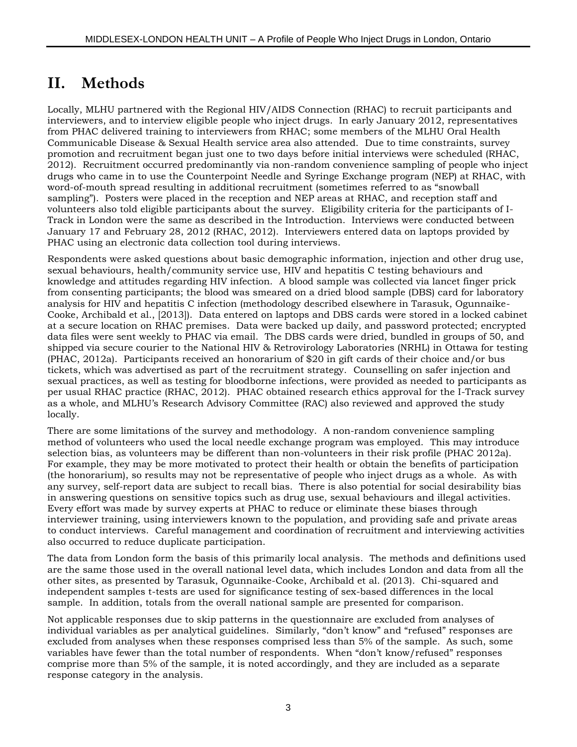## **II. Methods**

Locally, MLHU partnered with the Regional HIV/AIDS Connection (RHAC) to recruit participants and interviewers, and to interview eligible people who inject drugs. In early January 2012, representatives from PHAC delivered training to interviewers from RHAC; some members of the MLHU Oral Health Communicable Disease & Sexual Health service area also attended. Due to time constraints, survey promotion and recruitment began just one to two days before initial interviews were scheduled (RHAC, 2012). Recruitment occurred predominantly via non-random convenience sampling of people who inject drugs who came in to use the Counterpoint Needle and Syringe Exchange program (NEP) at RHAC, with word-of-mouth spread resulting in additional recruitment (sometimes referred to as "snowball sampling"). Posters were placed in the reception and NEP areas at RHAC, and reception staff and volunteers also told eligible participants about the survey. Eligibility criteria for the participants of I-Track in London were the same as described in the Introduction. Interviews were conducted between January 17 and February 28, 2012 (RHAC, 2012). Interviewers entered data on laptops provided by PHAC using an electronic data collection tool during interviews.

Respondents were asked questions about basic demographic information, injection and other drug use, sexual behaviours, health/community service use, HIV and hepatitis C testing behaviours and knowledge and attitudes regarding HIV infection. A blood sample was collected via lancet finger prick from consenting participants; the blood was smeared on a dried blood sample (DBS) card for laboratory analysis for HIV and hepatitis C infection (methodology described elsewhere in Tarasuk, Ogunnaike-Cooke, Archibald et al., [2013]). Data entered on laptops and DBS cards were stored in a locked cabinet at a secure location on RHAC premises. Data were backed up daily, and password protected; encrypted data files were sent weekly to PHAC via email. The DBS cards were dried, bundled in groups of 50, and shipped via secure courier to the National HIV & Retrovirology Laboratories (NRHL) in Ottawa for testing (PHAC, 2012a). Participants received an honorarium of \$20 in gift cards of their choice and/or bus tickets, which was advertised as part of the recruitment strategy. Counselling on safer injection and sexual practices, as well as testing for bloodborne infections, were provided as needed to participants as per usual RHAC practice (RHAC, 2012). PHAC obtained research ethics approval for the I-Track survey as a whole, and MLHU's Research Advisory Committee (RAC) also reviewed and approved the study locally.

There are some limitations of the survey and methodology. A non-random convenience sampling method of volunteers who used the local needle exchange program was employed. This may introduce selection bias, as volunteers may be different than non-volunteers in their risk profile (PHAC 2012a). For example, they may be more motivated to protect their health or obtain the benefits of participation (the honorarium), so results may not be representative of people who inject drugs as a whole. As with any survey, self-report data are subject to recall bias. There is also potential for social desirability bias in answering questions on sensitive topics such as drug use, sexual behaviours and illegal activities. Every effort was made by survey experts at PHAC to reduce or eliminate these biases through interviewer training, using interviewers known to the population, and providing safe and private areas to conduct interviews. Careful management and coordination of recruitment and interviewing activities also occurred to reduce duplicate participation.

The data from London form the basis of this primarily local analysis. The methods and definitions used are the same those used in the overall national level data, which includes London and data from all the other sites, as presented by Tarasuk, Ogunnaike-Cooke, Archibald et al. (2013). Chi-squared and independent samples t-tests are used for significance testing of sex-based differences in the local sample. In addition, totals from the overall national sample are presented for comparison.

Not applicable responses due to skip patterns in the questionnaire are excluded from analyses of individual variables as per analytical guidelines. Similarly, "don't know" and "refused" responses are excluded from analyses when these responses comprised less than 5% of the sample. As such, some variables have fewer than the total number of respondents. When "don't know/refused" responses comprise more than 5% of the sample, it is noted accordingly, and they are included as a separate response category in the analysis.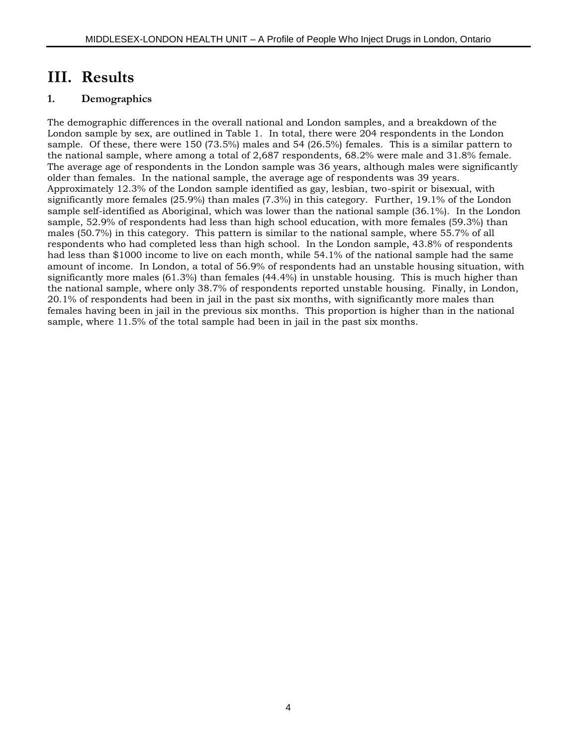### **III. Results**

#### **1. Demographics**

The demographic differences in the overall national and London samples, and a breakdown of the London sample by sex, are outlined in Table 1. In total, there were 204 respondents in the London sample. Of these, there were 150 (73.5%) males and 54 (26.5%) females. This is a similar pattern to the national sample, where among a total of 2,687 respondents, 68.2% were male and 31.8% female. The average age of respondents in the London sample was 36 years, although males were significantly older than females. In the national sample, the average age of respondents was 39 years. Approximately 12.3% of the London sample identified as gay, lesbian, two-spirit or bisexual, with significantly more females (25.9%) than males (7.3%) in this category. Further, 19.1% of the London sample self-identified as Aboriginal, which was lower than the national sample (36.1%). In the London sample, 52.9% of respondents had less than high school education, with more females (59.3%) than males (50.7%) in this category. This pattern is similar to the national sample, where 55.7% of all respondents who had completed less than high school. In the London sample, 43.8% of respondents had less than \$1000 income to live on each month, while 54.1% of the national sample had the same amount of income. In London, a total of 56.9% of respondents had an unstable housing situation, with significantly more males (61.3%) than females (44.4%) in unstable housing. This is much higher than the national sample, where only 38.7% of respondents reported unstable housing. Finally, in London, 20.1% of respondents had been in jail in the past six months, with significantly more males than females having been in jail in the previous six months. This proportion is higher than in the national sample, where 11.5% of the total sample had been in jail in the past six months.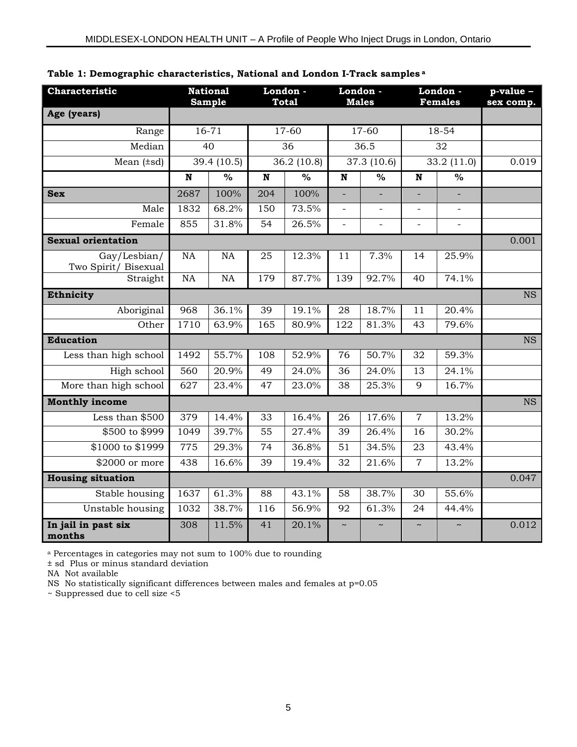| Characteristic                       | <b>National</b><br><b>Sample</b> |                          |             | London -<br><b>Total</b> |                         | London -<br><b>Males</b> |                      | London -<br><b>Females</b> |           |
|--------------------------------------|----------------------------------|--------------------------|-------------|--------------------------|-------------------------|--------------------------|----------------------|----------------------------|-----------|
| Age (years)                          |                                  |                          |             |                          |                         |                          |                      |                            | sex comp. |
| Range                                |                                  | $16 - 71$                |             | 17-60                    |                         | $17-60$                  |                      | 18-54                      |           |
| Median                               |                                  | 40                       | 36          |                          | 36.5                    |                          | 32                   |                            |           |
| Mean $(\pm sd)$                      |                                  | 39.4 (10.5)              |             | 36.2 (10.8)              |                         | 37.3 (10.6)              |                      | 33.2 (11.0)                | 0.019     |
|                                      | $\overline{\mathbf{N}}$          | $\overline{\frac{9}{0}}$ | $\mathbf N$ | $\overline{\frac{9}{6}}$ | $\overline{\mathbf{N}}$ | $\frac{0}{0}$            | $\mathbf N$          | $\overline{\frac{9}{6}}$   |           |
| <b>Sex</b>                           | 2687                             | 100%                     | 204         | 100%                     | L.                      |                          |                      |                            |           |
| Male                                 | 1832                             | 68.2%                    | 150         | 73.5%                    | $\overline{a}$          | $\overline{a}$           | $\equiv$             | $\equiv$                   |           |
| Female                               | 855                              | 31.8%                    | 54          | 26.5%                    | $\overline{a}$          | $\overline{a}$           | $\overline{a}$       | $\overline{a}$             |           |
| <b>Sexual orientation</b>            |                                  |                          |             |                          |                         |                          |                      |                            | 0.001     |
| Gay/Lesbian/<br>Two Spirit/ Bisexual | NA                               | <b>NA</b>                | 25          | 12.3%                    | 11                      | 7.3%                     | 14                   | 25.9%                      |           |
| Straight                             | NA                               | NA                       | 179         | 87.7%                    | 139                     | 92.7%                    | 40                   | 74.1%                      |           |
| Ethnicity                            |                                  |                          |             |                          |                         |                          |                      |                            | <b>NS</b> |
| Aboriginal                           | 968                              | 36.1%                    | 39          | 19.1%                    | 28                      | 18.7%                    | 11                   | 20.4%                      |           |
| Other                                | 1710                             | 63.9%                    | 165         | 80.9%                    | 122                     | 81.3%                    | 43                   | 79.6%                      |           |
| <b>Education</b>                     |                                  |                          |             |                          |                         |                          |                      |                            | <b>NS</b> |
| Less than high school                | 1492                             | 55.7%                    | 108         | 52.9%                    | 76                      | 50.7%                    | 32                   | 59.3%                      |           |
| High school                          | 560                              | 20.9%                    | 49          | 24.0%                    | 36                      | 24.0%                    | 13                   | 24.1%                      |           |
| More than high school                | 627                              | 23.4%                    | 47          | 23.0%                    | 38                      | 25.3%                    | 9                    | 16.7%                      |           |
| <b>Monthly income</b>                |                                  |                          |             |                          |                         |                          |                      |                            | <b>NS</b> |
| Less than \$500                      | 379                              | 14.4%                    | 33          | 16.4%                    | 26                      | 17.6%                    | $\overline{7}$       | 13.2%                      |           |
| \$500 to \$999                       | 1049                             | 39.7%                    | 55          | 27.4%                    | 39                      | 26.4%                    | 16                   | 30.2%                      |           |
| \$1000 to \$1999                     | 775                              | 29.3%                    | 74          | 36.8%                    | 51                      | 34.5%                    | 23                   | 43.4%                      |           |
| \$2000 or more                       | 438                              | 16.6%                    | 39          | 19.4%                    | 32                      | 21.6%                    | $\overline{7}$       | 13.2%                      |           |
| <b>Housing situation</b>             |                                  |                          |             |                          |                         |                          |                      |                            | 0.047     |
| Stable housing                       | 1637                             | 61.3%                    | 88          | 43.1%                    | 58                      | 38.7%                    | 30                   | 55.6%                      |           |
| Unstable housing                     | 1032                             | 38.7%                    | 116         | 56.9%                    | 92                      | 61.3%                    | 24                   | 44.4%                      |           |
| In jail in past six<br>months        | 308                              | 11.5%                    | 41          | 20.1%                    | $\ddot{\phantom{0}}$    | $\sim$                   | $\ddot{\phantom{0}}$ | $\sim$                     | 0.012     |

|  |  | Table 1: Demographic characteristics, National and London I-Track samples a |  |  |  |
|--|--|-----------------------------------------------------------------------------|--|--|--|
|  |  |                                                                             |  |  |  |

<sup>a</sup> Percentages in categories may not sum to 100% due to rounding

± sd Plus or minus standard deviation

NA Not available

NS No statistically significant differences between males and females at p=0.05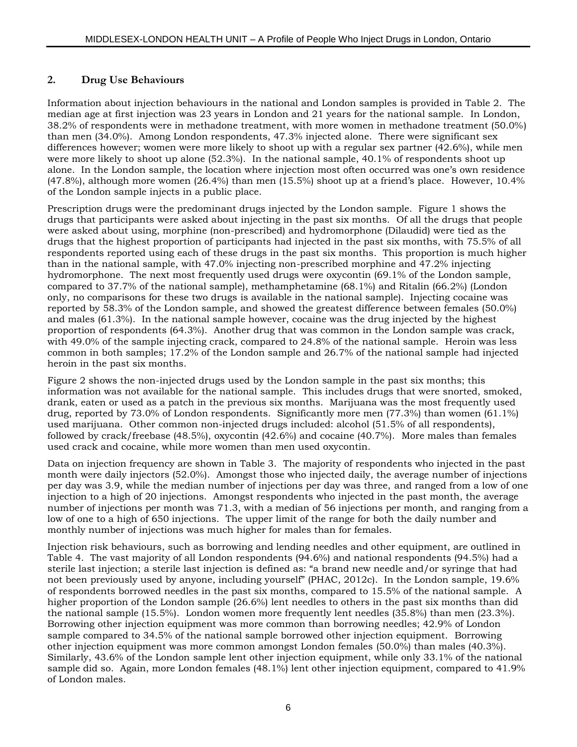#### **2. Drug Use Behaviours**

Information about injection behaviours in the national and London samples is provided in Table 2. The median age at first injection was 23 years in London and 21 years for the national sample. In London, 38.2% of respondents were in methadone treatment, with more women in methadone treatment (50.0%) than men (34.0%). Among London respondents, 47.3% injected alone. There were significant sex differences however; women were more likely to shoot up with a regular sex partner (42.6%), while men were more likely to shoot up alone (52.3%). In the national sample, 40.1% of respondents shoot up alone. In the London sample, the location where injection most often occurred was one's own residence (47.8%), although more women (26.4%) than men (15.5%) shoot up at a friend's place. However, 10.4% of the London sample injects in a public place.

Prescription drugs were the predominant drugs injected by the London sample. Figure 1 shows the drugs that participants were asked about injecting in the past six months. Of all the drugs that people were asked about using, morphine (non-prescribed) and hydromorphone (Dilaudid) were tied as the drugs that the highest proportion of participants had injected in the past six months, with 75.5% of all respondents reported using each of these drugs in the past six months. This proportion is much higher than in the national sample, with 47.0% injecting non-prescribed morphine and 47.2% injecting hydromorphone. The next most frequently used drugs were oxycontin (69.1% of the London sample, compared to 37.7% of the national sample), methamphetamine (68.1%) and Ritalin (66.2%) (London only, no comparisons for these two drugs is available in the national sample). Injecting cocaine was reported by 58.3% of the London sample, and showed the greatest difference between females (50.0%) and males (61.3%). In the national sample however, cocaine was the drug injected by the highest proportion of respondents (64.3%). Another drug that was common in the London sample was crack, with 49.0% of the sample injecting crack, compared to 24.8% of the national sample. Heroin was less common in both samples; 17.2% of the London sample and 26.7% of the national sample had injected heroin in the past six months.

Figure 2 shows the non-injected drugs used by the London sample in the past six months; this information was not available for the national sample. This includes drugs that were snorted, smoked, drank, eaten or used as a patch in the previous six months. Marijuana was the most frequently used drug, reported by 73.0% of London respondents. Significantly more men (77.3%) than women (61.1%) used marijuana. Other common non-injected drugs included: alcohol (51.5% of all respondents), followed by crack/freebase (48.5%), oxycontin (42.6%) and cocaine (40.7%). More males than females used crack and cocaine, while more women than men used oxycontin.

Data on injection frequency are shown in Table 3. The majority of respondents who injected in the past month were daily injectors (52.0%). Amongst those who injected daily, the average number of injections per day was 3.9, while the median number of injections per day was three, and ranged from a low of one injection to a high of 20 injections. Amongst respondents who injected in the past month, the average number of injections per month was 71.3, with a median of 56 injections per month, and ranging from a low of one to a high of 650 injections. The upper limit of the range for both the daily number and monthly number of injections was much higher for males than for females.

Injection risk behaviours, such as borrowing and lending needles and other equipment, are outlined in Table 4. The vast majority of all London respondents (94.6%) and national respondents (94.5%) had a sterile last injection; a sterile last injection is defined as: "a brand new needle and/or syringe that had not been previously used by anyone, including yourself" (PHAC, 2012c). In the London sample, 19.6% of respondents borrowed needles in the past six months, compared to 15.5% of the national sample. A higher proportion of the London sample (26.6%) lent needles to others in the past six months than did the national sample (15.5%). London women more frequently lent needles (35.8%) than men (23.3%). Borrowing other injection equipment was more common than borrowing needles; 42.9% of London sample compared to 34.5% of the national sample borrowed other injection equipment. Borrowing other injection equipment was more common amongst London females (50.0%) than males (40.3%). Similarly, 43.6% of the London sample lent other injection equipment, while only 33.1% of the national sample did so. Again, more London females (48.1%) lent other injection equipment, compared to 41.9% of London males.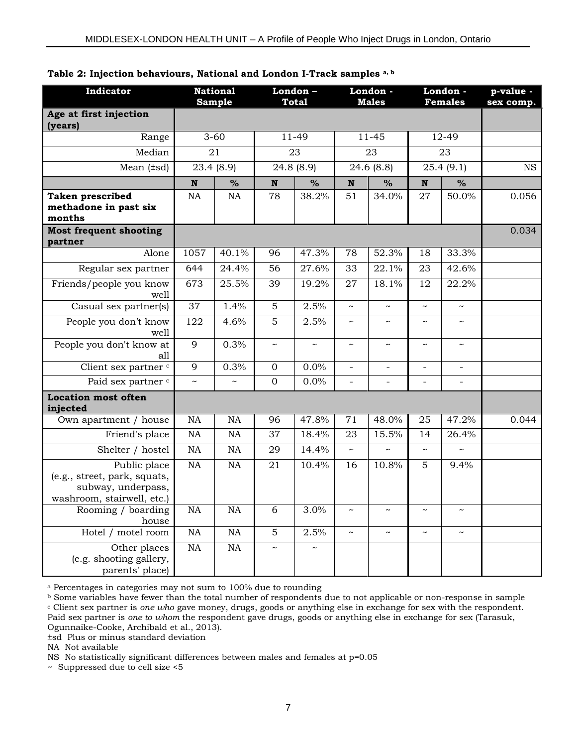| Indicator                                                                                        |                 | <b>National</b><br><b>Sample</b> | London-<br><b>Total</b> |                       | London -<br><b>Males</b> |                       | London -<br><b>Females</b> |                          | p-value -<br>sex comp. |
|--------------------------------------------------------------------------------------------------|-----------------|----------------------------------|-------------------------|-----------------------|--------------------------|-----------------------|----------------------------|--------------------------|------------------------|
| Age at first injection<br>(years)                                                                |                 |                                  |                         |                       |                          |                       |                            |                          |                        |
| Range                                                                                            |                 | $3 - 60$                         |                         | 11-49                 |                          | $11 - 45$             |                            | 12-49                    |                        |
| Median                                                                                           |                 | $\overline{21}$                  | $\overline{23}$         |                       | 23                       |                       | $\overline{23}$            |                          |                        |
| Mean $(\pm sd)$                                                                                  |                 | 23.4 (8.9)                       |                         | 24.8 (8.9)            |                          | 24.6 (8.8)            |                            | 25.4(9.1)                | <b>NS</b>              |
|                                                                                                  | N               | $\%$                             | N                       | $\%$                  | N                        | $\%$                  | N                          | $\frac{0}{0}$            |                        |
| <b>Taken prescribed</b><br>methadone in past six<br>months                                       | <b>NA</b>       | NA                               | 78                      | 38.2%                 | 51                       | 34.0%                 | 27                         | 50.0%                    | 0.056                  |
| <b>Most frequent shooting</b><br>partner                                                         |                 |                                  |                         |                       |                          |                       |                            |                          | 0.034                  |
| Alone                                                                                            | 1057            | 40.1%                            | 96                      | 47.3%                 | 78                       | 52.3%                 | 18                         | 33.3%                    |                        |
| Regular sex partner                                                                              | 644             | 24.4%                            | $\overline{56}$         | 27.6%                 | $\overline{33}$          | 22.1%                 | $\overline{23}$            | 42.6%                    |                        |
| Friends/people you know<br>well                                                                  | 673             | 25.5%                            | 39                      | 19.2%                 | 27                       | 18.1%                 | 12                         | 22.2%                    |                        |
| Casual sex partner(s)                                                                            | 37              | 1.4%                             | 5                       | 2.5%                  | $\sim$                   | $\sim$                | $\sim$                     | $\sim$                   |                        |
| People you don't know<br>well                                                                    | 122             | 4.6%                             | 5                       | 2.5%                  | $\tilde{\phantom{a}}$    | $\tilde{}$            | $\tilde{}$                 | $\tilde{\phantom{a}}$    |                        |
| People you don't know at<br>all                                                                  | 9               | 0.3%                             | $\tilde{}$              | $\tilde{\phantom{a}}$ | $\tilde{}$               | $\tilde{}$            | $\tilde{}$                 | $\tilde{\phantom{a}}$    |                        |
| Client sex partner c                                                                             | 9               | 0.3%                             | $\overline{0}$          | 0.0%                  | $\overline{a}$           | $\overline{a}$        | $\overline{a}$             | $\overline{\phantom{a}}$ |                        |
| Paid sex partner <sup>c</sup>                                                                    | $\sim$          | $\sim$                           | $\overline{0}$          | 0.0%                  | $\frac{1}{2}$            | $\bar{\phantom{a}}$   | $\overline{a}$             | $\overline{a}$           |                        |
| <b>Location most often</b><br>injected                                                           |                 |                                  |                         |                       |                          |                       |                            |                          |                        |
| Own apartment / house                                                                            | NA              | <b>NA</b>                        | 96                      | 47.8%                 | 71                       | 48.0%                 | 25                         | 47.2%                    | 0.044                  |
| Friend's place                                                                                   | $\overline{NA}$ | NA                               | 37                      | 18.4%                 | 23                       | 15.5%                 | 14                         | 26.4%                    |                        |
| Shelter / hostel                                                                                 | $\overline{NA}$ | NA                               | 29                      | 14.4%                 | $\sim$                   |                       | $\sim$                     |                          |                        |
| Public place<br>(e.g., street, park, squats,<br>subway, underpass,<br>washroom, stairwell, etc.) | $\overline{NA}$ | NA                               | 21                      | 10.4%                 | 16                       | 10.8%                 | 5                          | 9.4%                     |                        |
| Rooming / boarding<br>house                                                                      | <b>NA</b>       | NA                               | $\overline{6}$          | 3.0%                  | $\tilde{\phantom{a}}$    | $\tilde{\phantom{a}}$ | $\tilde{\phantom{a}}$      |                          |                        |
| Hotel / motel room                                                                               | $\rm NA$        | NA                               | 5                       | 2.5%                  | $\sim$                   | $\tilde{\phantom{a}}$ | $\tilde{}$                 | $\tilde{}$               |                        |
| Other places<br>(e.g. shooting gallery,<br>parents' place)                                       | <b>NA</b>       | <b>NA</b>                        | $\sim$                  |                       |                          |                       |                            |                          |                        |

#### **Table 2: Injection behaviours, National and London I-Track samples a, b**

<sup>a</sup> Percentages in categories may not sum to 100% due to rounding

<sup>b</sup> Some variables have fewer than the total number of respondents due to not applicable or non-response in sample <sup>c</sup> Client sex partner is *one who* gave money, drugs, goods or anything else in exchange for sex with the respondent. Paid sex partner is *one to whom* the respondent gave drugs, goods or anything else in exchange for sex (Tarasuk, Ogunnaike-Cooke, Archibald et al., 2013).

±sd Plus or minus standard deviation

NA Not available

NS No statistically significant differences between males and females at p=0.05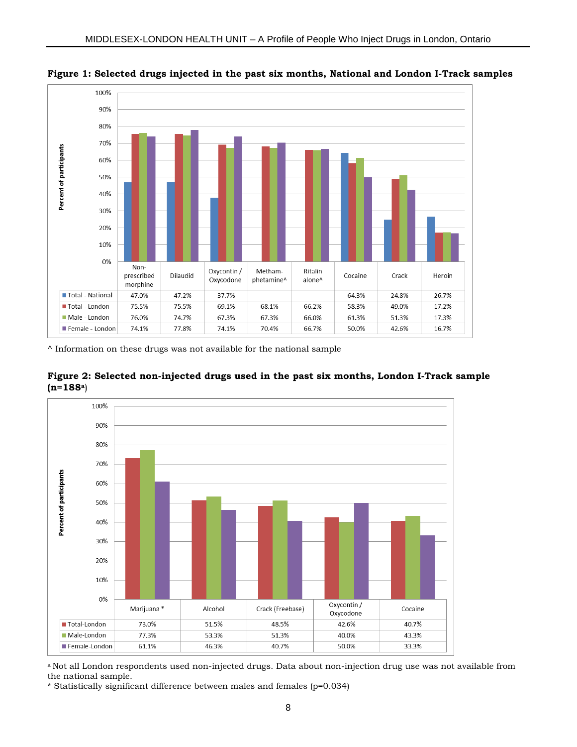

**Figure 1: Selected drugs injected in the past six months, National and London I-Track samples**

 $\land$  Information on these drugs was not available for the national sample





a Not all London respondents used non-injected drugs. Data about non-injection drug use was not available from the national sample.

\* Statistically significant difference between males and females (p=0.034)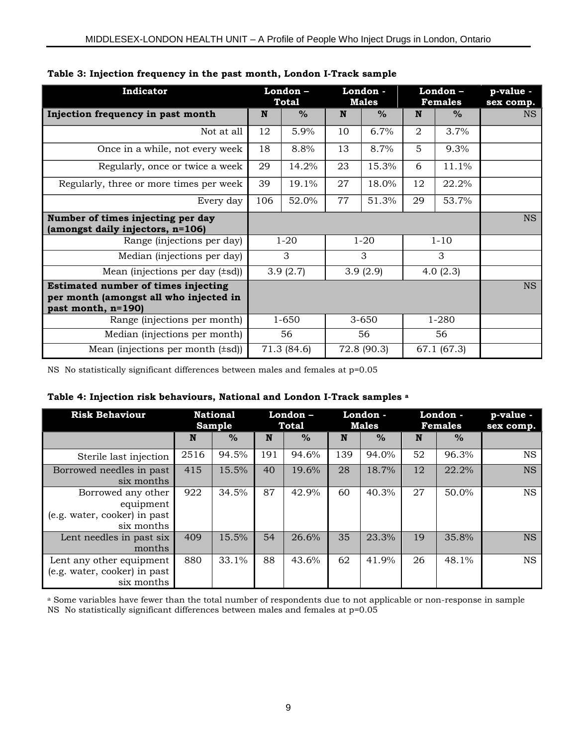| Indicator                                                                                                  |     | London-<br><b>Total</b> |    | London -<br>Males |             | London-<br><b>Females</b> | p-value -<br>sex comp. |
|------------------------------------------------------------------------------------------------------------|-----|-------------------------|----|-------------------|-------------|---------------------------|------------------------|
| Injection frequency in past month                                                                          | N   | $\%$                    | N  | $\frac{0}{0}$     | N           | $\%$                      | <b>NS</b>              |
| Not at all                                                                                                 | 12  | 5.9%                    | 10 | 6.7%              | 2           | 3.7%                      |                        |
| Once in a while, not every week                                                                            | 18  | 8.8%                    | 13 | 8.7%              | 5           | 9.3%                      |                        |
| Regularly, once or twice a week                                                                            | 29  | 14.2%                   | 23 | 15.3%             | 6           | 11.1%                     |                        |
| Regularly, three or more times per week                                                                    | 39  | 19.1%                   | 27 | 18.0%             | 12          | 22.2%                     |                        |
| Every day                                                                                                  | 106 | 52.0%                   | 77 | 51.3%             | 29          | 53.7%                     |                        |
| Number of times injecting per day<br>(amongst daily injectors, n=106)                                      |     |                         |    |                   |             |                           | <b>NS</b>              |
| Range (injections per day)                                                                                 |     | $1 - 20$                |    | $1 - 20$          |             | $1 - 10$                  |                        |
| Median (injections per day)                                                                                |     | 3                       |    | 3                 |             | 3                         |                        |
| Mean (injections per day $(\pm \text{sd})$ )                                                               |     | 3.9(2.7)                |    | 3.9(2.9)          |             | 4.0(2.3)                  |                        |
| <b>Estimated number of times injecting</b><br>per month (amongst all who injected in<br>past month, n=190) |     |                         |    |                   |             |                           | <b>NS</b>              |
| Range (injections per month)                                                                               |     | 1-650                   |    | 3-650             |             | $1 - 280$                 |                        |
| Median (injections per month)                                                                              |     | 56                      | 56 |                   | 56          |                           |                        |
| Mean (injections per month $(\pm \text{sd})$ )                                                             |     | 71.3 (84.6)             |    | 72.8 (90.3)       | 67.1 (67.3) |                           |                        |

#### **Table 3: Injection frequency in the past month, London I-Track sample**

NS No statistically significant differences between males and females at p=0.05

#### **Table 4: Injection risk behaviours, National and London I-Track samples <sup>a</sup>**

| <b>Risk Behaviour</b>                                                         |      | <b>National</b><br><b>Sample</b> |     | London-<br>Total |     |               | London -<br>London -<br><b>Males</b><br><b>Females</b> |               | p-value -<br>sex comp. |
|-------------------------------------------------------------------------------|------|----------------------------------|-----|------------------|-----|---------------|--------------------------------------------------------|---------------|------------------------|
|                                                                               | N    | $\%$                             | N   | $\%$             | N   | $\frac{6}{6}$ | N                                                      | $\frac{0}{0}$ |                        |
| Sterile last injection                                                        | 2516 | 94.5%                            | 191 | 94.6%            | 139 | 94.0%         | 52                                                     | 96.3%         | <b>NS</b>              |
| Borrowed needles in past<br>six months                                        | 415  | 15.5%                            | 40  | 19.6%            | 28  | 18.7%         | 12                                                     | 22.2%         | <b>NS</b>              |
| Borrowed any other<br>equipment<br>(e.g. water, cooker) in past<br>six months | 922  | 34.5%                            | 87  | 42.9%            | 60  | 40.3%         | 27                                                     | 50.0%         | <b>NS</b>              |
| Lent needles in past six<br>months                                            | 409  | 15.5%                            | 54  | 26.6%            | 35  | 23.3%         | 19                                                     | 35.8%         | <b>NS</b>              |
| Lent any other equipment<br>(e.g. water, cooker) in past<br>six months        | 880  | 33.1%                            | 88  | 43.6%            | 62  | 41.9%         | 26                                                     | 48.1%         | <b>NS</b>              |

<sup>a</sup> Some variables have fewer than the total number of respondents due to not applicable or non-response in sample NS No statistically significant differences between males and females at p=0.05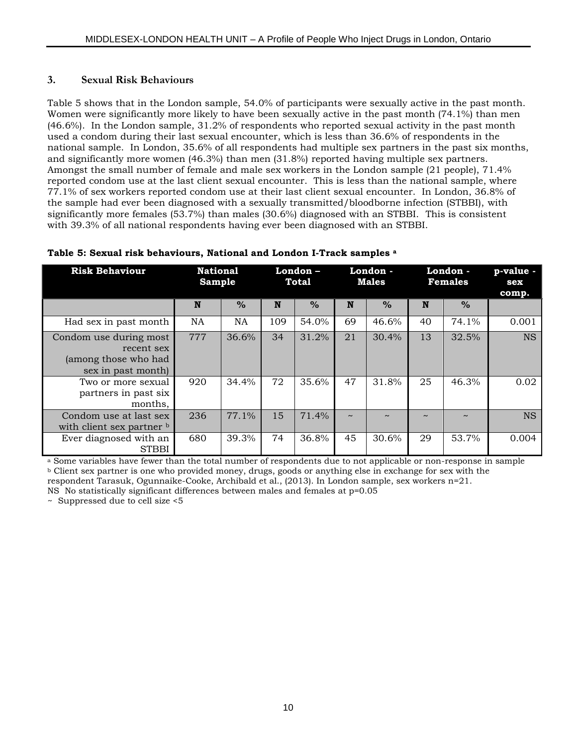#### **3. Sexual Risk Behaviours**

Table 5 shows that in the London sample, 54.0% of participants were sexually active in the past month. Women were significantly more likely to have been sexually active in the past month (74.1%) than men (46.6%). In the London sample, 31.2% of respondents who reported sexual activity in the past month used a condom during their last sexual encounter, which is less than 36.6% of respondents in the national sample. In London, 35.6% of all respondents had multiple sex partners in the past six months, and significantly more women (46.3%) than men (31.8%) reported having multiple sex partners. Amongst the small number of female and male sex workers in the London sample (21 people), 71.4% reported condom use at the last client sexual encounter. This is less than the national sample, where 77.1% of sex workers reported condom use at their last client sexual encounter. In London, 36.8% of the sample had ever been diagnosed with a sexually transmitted/bloodborne infection (STBBI), with significantly more females (53.7%) than males (30.6%) diagnosed with an STBBI. This is consistent with 39.3% of all national respondents having ever been diagnosed with an STBBI.

| <b>Risk Behaviour</b>                                                              |           | <b>National</b><br><b>Sample</b> |     | London -<br><b>Total</b> |        | London -<br>Males |        | London -<br><b>Females</b> | p-value -<br>sex<br>comp. |
|------------------------------------------------------------------------------------|-----------|----------------------------------|-----|--------------------------|--------|-------------------|--------|----------------------------|---------------------------|
|                                                                                    | N         | $\%$                             | N   | $\%$                     | N      | $\%$              | N      | $\frac{0}{0}$              |                           |
| Had sex in past month                                                              | <b>NA</b> | NA                               | 109 | 54.0%                    | 69     | 46.6%             | 40     | 74.1%                      | 0.001                     |
| Condom use during most<br>recent sex<br>(among those who had<br>sex in past month) | 777       | 36.6%                            | 34  | 31.2%                    | 21     | 30.4%             | 13     | 32.5%                      | <b>NS</b>                 |
| Two or more sexual<br>partners in past six<br>months,                              | 920       | 34.4%                            | 72  | 35.6%                    | 47     | 31.8%             | 25     | 46.3%                      | 0.02                      |
| Condom use at last sex<br>with client sex partner b                                | 236       | 77.1%                            | 15  | 71.4%                    | $\sim$ |                   | $\sim$ | $\sim$                     | <b>NS</b>                 |
| Ever diagnosed with an<br><b>STBBI</b>                                             | 680       | 39.3%                            | 74  | 36.8%                    | 45     | 30.6%             | 29     | 53.7%                      | 0.004                     |

#### **Table 5: Sexual risk behaviours, National and London I-Track samples a**^

<sup>a</sup> Some variables have fewer than the total number of respondents due to not applicable or non-response in sample <sup>b</sup> Client sex partner is one who provided money, drugs, goods or anything else in exchange for sex with the

respondent Tarasuk, Ogunnaike-Cooke, Archibald et al., (2013). In London sample, sex workers n=21.

NS No statistically significant differences between males and females at p=0.05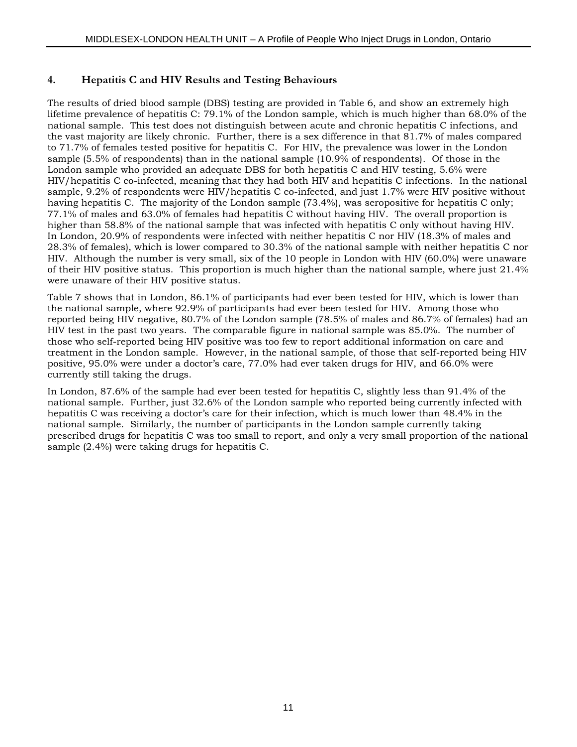#### **4. Hepatitis C and HIV Results and Testing Behaviours**

The results of dried blood sample (DBS) testing are provided in Table 6, and show an extremely high lifetime prevalence of hepatitis C: 79.1% of the London sample, which is much higher than 68.0% of the national sample. This test does not distinguish between acute and chronic hepatitis C infections, and the vast majority are likely chronic. Further, there is a sex difference in that 81.7% of males compared to 71.7% of females tested positive for hepatitis C. For HIV, the prevalence was lower in the London sample (5.5% of respondents) than in the national sample (10.9% of respondents). Of those in the London sample who provided an adequate DBS for both hepatitis C and HIV testing, 5.6% were HIV/hepatitis C co-infected, meaning that they had both HIV and hepatitis C infections. In the national sample, 9.2% of respondents were HIV/hepatitis C co-infected, and just 1.7% were HIV positive without having hepatitis C. The majority of the London sample (73.4%), was seropositive for hepatitis C only; 77.1% of males and 63.0% of females had hepatitis C without having HIV. The overall proportion is higher than 58.8% of the national sample that was infected with hepatitis C only without having HIV. In London, 20.9% of respondents were infected with neither hepatitis C nor HIV (18.3% of males and 28.3% of females), which is lower compared to 30.3% of the national sample with neither hepatitis C nor HIV. Although the number is very small, six of the 10 people in London with HIV (60.0%) were unaware of their HIV positive status. This proportion is much higher than the national sample, where just 21.4% were unaware of their HIV positive status.

Table 7 shows that in London, 86.1% of participants had ever been tested for HIV, which is lower than the national sample, where 92.9% of participants had ever been tested for HIV. Among those who reported being HIV negative, 80.7% of the London sample (78.5% of males and 86.7% of females) had an HIV test in the past two years. The comparable figure in national sample was 85.0%. The number of those who self-reported being HIV positive was too few to report additional information on care and treatment in the London sample. However, in the national sample, of those that self-reported being HIV positive, 95.0% were under a doctor's care, 77.0% had ever taken drugs for HIV, and 66.0% were currently still taking the drugs.

In London, 87.6% of the sample had ever been tested for hepatitis C, slightly less than 91.4% of the national sample. Further, just 32.6% of the London sample who reported being currently infected with hepatitis C was receiving a doctor's care for their infection, which is much lower than 48.4% in the national sample. Similarly, the number of participants in the London sample currently taking prescribed drugs for hepatitis C was too small to report, and only a very small proportion of the national sample (2.4%) were taking drugs for hepatitis C.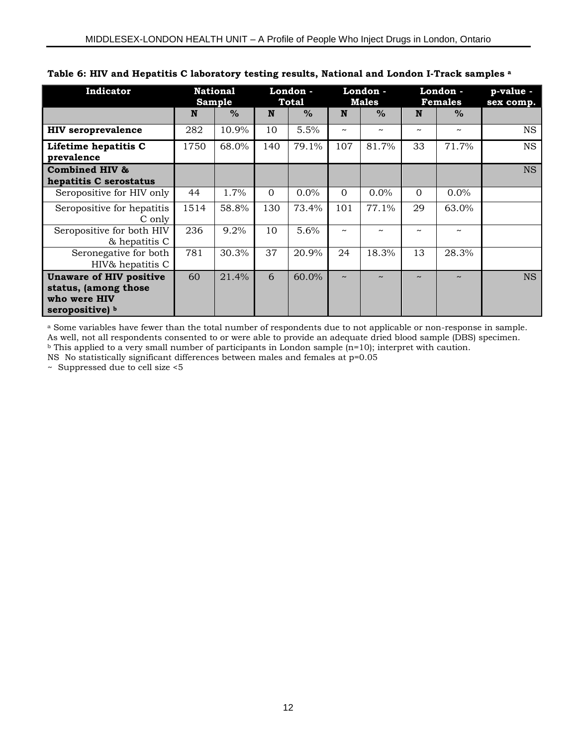| Indicator                                                                                 | <b>National</b><br>Sample |       | London -<br><b>Total</b> |       | London -<br><b>Males</b> |                       | London -<br><b>Females</b> |               | p-value -<br>sex comp. |
|-------------------------------------------------------------------------------------------|---------------------------|-------|--------------------------|-------|--------------------------|-----------------------|----------------------------|---------------|------------------------|
|                                                                                           | N                         | $\%$  | N                        | $\%$  | N                        | $\frac{0}{0}$         | N                          | $\frac{0}{0}$ |                        |
| <b>HIV</b> seroprevalence                                                                 | 282                       | 10.9% | 10                       | 5.5%  | $\tilde{\phantom{a}}$    | $\tilde{\phantom{a}}$ | $\tilde{\phantom{a}}$      | $\sim$        | <b>NS</b>              |
| Lifetime hepatitis C<br>prevalence                                                        | 1750                      | 68.0% | 140                      | 79.1% | 107                      | 81.7%                 | 33                         | 71.7%         | <b>NS</b>              |
| <b>Combined HIV &amp;</b><br>hepatitis C serostatus                                       |                           |       |                          |       |                          |                       |                            |               | <b>NS</b>              |
| Seropositive for HIV only                                                                 | 44                        | 1.7%  | $\Omega$                 | 0.0%  | $\Omega$                 | 0.0%                  | $\Omega$                   | $0.0\%$       |                        |
| Seropositive for hepatitis<br>C only                                                      | 1514                      | 58.8% | 130                      | 73.4% | 101                      | 77.1%                 | 29                         | 63.0%         |                        |
| Seropositive for both HIV<br>& hepatitis C                                                | 236                       | 9.2%  | 10                       | 5.6%  | $\tilde{\phantom{a}}$    | $\tilde{\phantom{a}}$ | $\tilde{\phantom{a}}$      | $\tilde{}$    |                        |
| Seronegative for both<br>HIV& hepatitis C                                                 | 781                       | 30.3% | 37                       | 20.9% | 24                       | 18.3%                 | 13                         | 28.3%         |                        |
| <b>Unaware of HIV positive</b><br>status, (among those<br>who were HIV<br>seropositive) b | 60                        | 21.4% | 6                        | 60.0% | $\tilde{\phantom{a}}$    | $\sim$                | $\sim$                     | $\sim$        | <b>NS</b>              |

#### **Table 6: HIV and Hepatitis C laboratory testing results, National and London I-Track samples <sup>a</sup>**

a Some variables have fewer than the total number of respondents due to not applicable or non-response in sample. As well, not all respondents consented to or were able to provide an adequate dried blood sample (DBS) specimen.  $b$  This applied to a very small number of participants in London sample (n=10); interpret with caution.

NS No statistically significant differences between males and females at p=0.05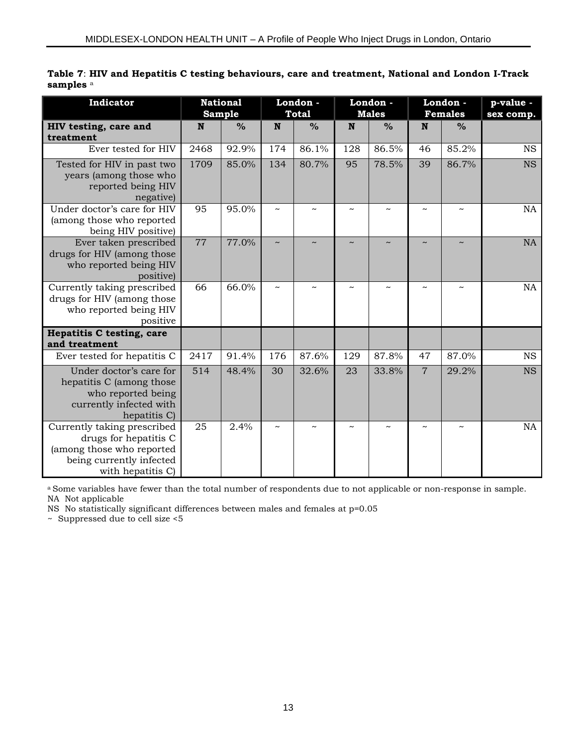|                      |  |  |  | Table 7: HIV and Hepatitis C testing behaviours, care and treatment, National and London I-Track |  |  |
|----------------------|--|--|--|--------------------------------------------------------------------------------------------------|--|--|
| samples <sup>a</sup> |  |  |  |                                                                                                  |  |  |

| Indicator                                                                                                                          |                  | <b>National</b><br><b>Sample</b> | London -<br><b>Total</b> |               | London -<br><b>Males</b> |               |                       | London -<br><b>Females</b> | p-value -<br>sex comp. |
|------------------------------------------------------------------------------------------------------------------------------------|------------------|----------------------------------|--------------------------|---------------|--------------------------|---------------|-----------------------|----------------------------|------------------------|
| HIV testing, care and<br>treatment                                                                                                 | N                | $\frac{0}{0}$                    | N                        | $\frac{0}{0}$ | $\mathbf N$              | $\frac{0}{0}$ | N                     | $\frac{0}{0}$              |                        |
| Ever tested for HIV                                                                                                                | 2468             | 92.9%                            | 174                      | 86.1%         | 128                      | 86.5%         | 46                    | 85.2%                      | <b>NS</b>              |
| Tested for HIV in past two<br>years (among those who<br>reported being HIV<br>negative)                                            | 1709             | 85.0%                            | 134                      | 80.7%         | 95                       | 78.5%         | 39                    | 86.7%                      | <b>NS</b>              |
| Under doctor's care for HIV<br>(among those who reported<br>being HIV positive)                                                    | 95               | 95.0%                            | $\tilde{\phantom{a}}$    |               |                          |               | $\sim$                |                            | <b>NA</b>              |
| Ever taken prescribed<br>drugs for HIV (among those<br>who reported being HIV<br>positive)                                         | 77               | 77.0%                            | $\sim$                   |               |                          |               | $\sim$                |                            | <b>NA</b>              |
| Currently taking prescribed<br>drugs for HIV (among those<br>who reported being HIV<br>positive                                    | 66               | 66.0%                            | $\tilde{\phantom{a}}$    |               | $\tilde{\phantom{a}}$    |               | $\sim$                |                            | NA                     |
| <b>Hepatitis C testing, care</b><br>and treatment                                                                                  |                  |                                  |                          |               |                          |               |                       |                            |                        |
| Ever tested for hepatitis C                                                                                                        | 2417             | 91.4%                            | $\overline{176}$         | 87.6%         | 129                      | 87.8%         | 47                    | 87.0%                      | $\overline{\text{NS}}$ |
| Under doctor's care for<br>hepatitis C (among those<br>who reported being<br>currently infected with<br>hepatitis C)               | $\overline{514}$ | 48.4%                            | $\overline{30}$          | 32.6%         | 23                       | 33.8%         | $\overline{7}$        | 29.2%                      | <b>NS</b>              |
| Currently taking prescribed<br>drugs for hepatitis C<br>(among those who reported<br>being currently infected<br>with hepatitis C) | 25               | 2.4%                             | $\tilde{\phantom{a}}$    |               |                          |               | $\tilde{\phantom{a}}$ |                            | <b>NA</b>              |

a Some variables have fewer than the total number of respondents due to not applicable or non-response in sample. NA Not applicable

NS No statistically significant differences between males and females at p=0.05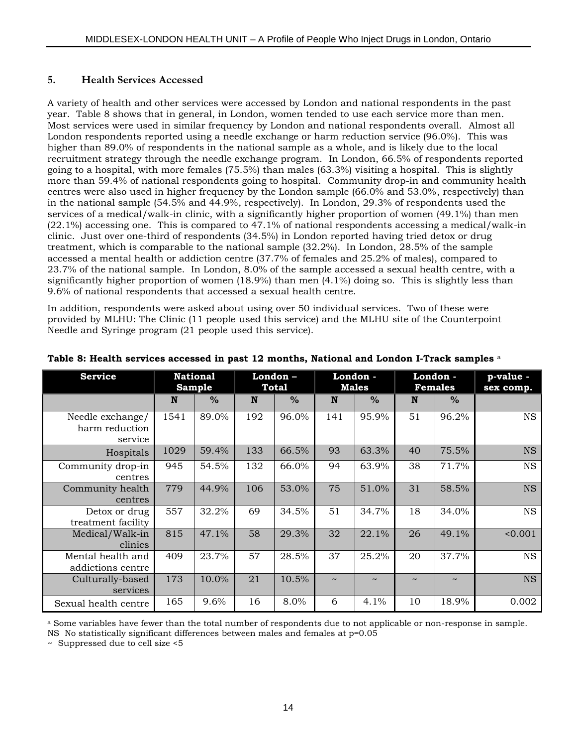#### **5. Health Services Accessed**

A variety of health and other services were accessed by London and national respondents in the past year. Table 8 shows that in general, in London, women tended to use each service more than men. Most services were used in similar frequency by London and national respondents overall. Almost all London respondents reported using a needle exchange or harm reduction service (96.0%). This was higher than 89.0% of respondents in the national sample as a whole, and is likely due to the local recruitment strategy through the needle exchange program. In London, 66.5% of respondents reported going to a hospital, with more females (75.5%) than males (63.3%) visiting a hospital. This is slightly more than 59.4% of national respondents going to hospital. Community drop-in and community health centres were also used in higher frequency by the London sample (66.0% and 53.0%, respectively) than in the national sample (54.5% and 44.9%, respectively). In London, 29.3% of respondents used the services of a medical/walk-in clinic, with a significantly higher proportion of women (49.1%) than men (22.1%) accessing one. This is compared to 47.1% of national respondents accessing a medical/walk-in clinic. Just over one-third of respondents (34.5%) in London reported having tried detox or drug treatment, which is comparable to the national sample (32.2%). In London, 28.5% of the sample accessed a mental health or addiction centre (37.7% of females and 25.2% of males), compared to 23.7% of the national sample. In London, 8.0% of the sample accessed a sexual health centre, with a significantly higher proportion of women (18.9%) than men (4.1%) doing so. This is slightly less than 9.6% of national respondents that accessed a sexual health centre.

In addition, respondents were asked about using over 50 individual services. Two of these were provided by MLHU: The Clinic (11 people used this service) and the MLHU site of the Counterpoint Needle and Syringe program (21 people used this service).

| <b>Service</b>                                | <b>National</b><br>Sample |       | London-<br>Total |       | London -<br><b>Males</b> |        | London -<br><b>Females</b> |                       | p-value -<br>sex comp. |
|-----------------------------------------------|---------------------------|-------|------------------|-------|--------------------------|--------|----------------------------|-----------------------|------------------------|
|                                               | N                         | $\%$  | N                | $\%$  | N                        | $\%$   | N                          | $\%$                  |                        |
| Needle exchange/<br>harm reduction<br>service | 1541                      | 89.0% | 192              | 96.0% | 141                      | 95.9%  | 51                         | 96.2%                 | <b>NS</b>              |
| Hospitals                                     | 1029                      | 59.4% | 133              | 66.5% | 93                       | 63.3%  | 40                         | 75.5%                 | <b>NS</b>              |
| Community drop-in<br>centres                  | 945                       | 54.5% | 132              | 66.0% | 94                       | 63.9%  | 38                         | 71.7%                 | <b>NS</b>              |
| Community health<br>centres                   | 779                       | 44.9% | 106              | 53.0% | 75                       | 51.0%  | 31                         | 58.5%                 | <b>NS</b>              |
| Detox or drug<br>treatment facility           | 557                       | 32.2% | 69               | 34.5% | 51                       | 34.7%  | 18                         | 34.0%                 | <b>NS</b>              |
| Medical/Walk-in<br>clinics                    | 815                       | 47.1% | 58               | 29.3% | 32                       | 22.1%  | 26                         | 49.1%                 | 0.001                  |
| Mental health and<br>addictions centre        | 409                       | 23.7% | 57               | 28.5% | 37                       | 25.2%  | 20                         | 37.7%                 | <b>NS</b>              |
| Culturally-based<br>services                  | 173                       | 10.0% | 21               | 10.5% |                          | $\sim$ |                            | $\tilde{\phantom{a}}$ | <b>NS</b>              |
| Sexual health centre                          | 165                       | 9.6%  | 16               | 8.0%  | 6                        | 4.1%   | 10                         | 18.9%                 | 0.002                  |

#### **Table 8: Health services accessed in past 12 months, National and London I-Track samples** <sup>a</sup>

a Some variables have fewer than the total number of respondents due to not applicable or non-response in sample.

NS No statistically significant differences between males and females at p=0.05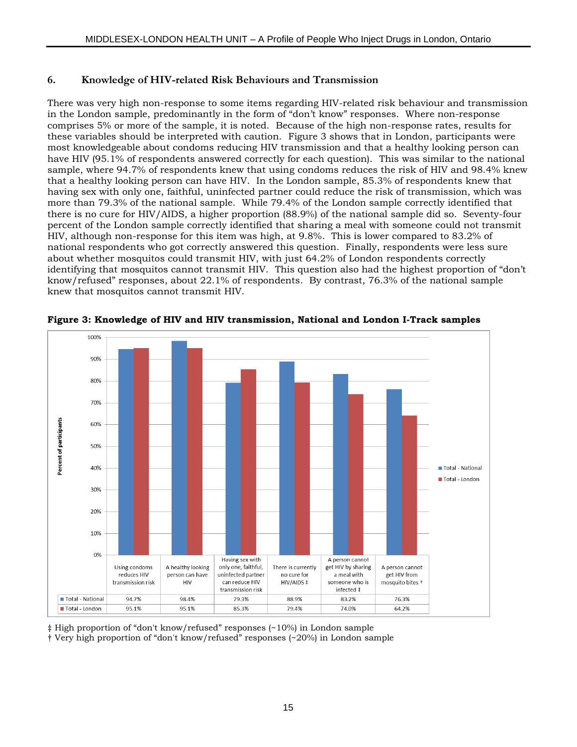#### **6. Knowledge of HIV-related Risk Behaviours and Transmission**

There was very high non-response to some items regarding HIV-related risk behaviour and transmission in the London sample, predominantly in the form of "don't know" responses. Where non-response comprises 5% or more of the sample, it is noted. Because of the high non-response rates, results for these variables should be interpreted with caution. Figure 3 shows that in London, participants were most knowledgeable about condoms reducing HIV transmission and that a healthy looking person can have HIV (95.1% of respondents answered correctly for each question). This was similar to the national sample, where 94.7% of respondents knew that using condoms reduces the risk of HIV and 98.4% knew that a healthy looking person can have HIV. In the London sample, 85.3% of respondents knew that having sex with only one, faithful, uninfected partner could reduce the risk of transmission, which was more than 79.3% of the national sample. While 79.4% of the London sample correctly identified that there is no cure for HIV/AIDS, a higher proportion (88.9%) of the national sample did so. Seventy-four percent of the London sample correctly identified that sharing a meal with someone could not transmit HIV, although non-response for this item was high, at 9.8%. This is lower compared to 83.2% of national respondents who got correctly answered this question. Finally, respondents were less sure about whether mosquitos could transmit HIV, with just 64.2% of London respondents correctly identifying that mosquitos cannot transmit HIV. This question also had the highest proportion of "don't know/refused" responses, about 22.1% of respondents. By contrast, 76.3% of the national sample knew that mosquitos cannot transmit HIV.



**Figure 3: Knowledge of HIV and HIV transmission, National and London I-Track samples**

‡ High proportion of "don't know/refused" responses (~10%) in London sample

† Very high proportion of "don't know/refused" responses (~20%) in London sample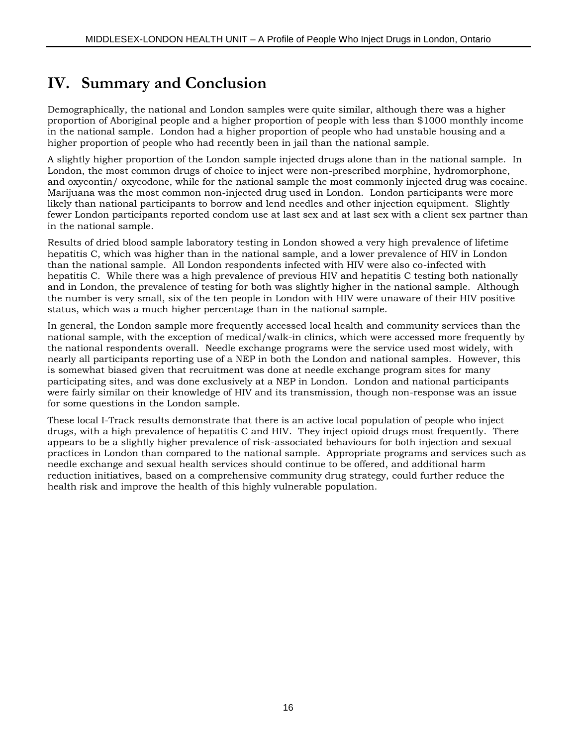## **IV. Summary and Conclusion**

Demographically, the national and London samples were quite similar, although there was a higher proportion of Aboriginal people and a higher proportion of people with less than \$1000 monthly income in the national sample. London had a higher proportion of people who had unstable housing and a higher proportion of people who had recently been in jail than the national sample.

A slightly higher proportion of the London sample injected drugs alone than in the national sample. In London, the most common drugs of choice to inject were non-prescribed morphine, hydromorphone, and oxycontin/ oxycodone, while for the national sample the most commonly injected drug was cocaine. Marijuana was the most common non-injected drug used in London. London participants were more likely than national participants to borrow and lend needles and other injection equipment. Slightly fewer London participants reported condom use at last sex and at last sex with a client sex partner than in the national sample.

Results of dried blood sample laboratory testing in London showed a very high prevalence of lifetime hepatitis C, which was higher than in the national sample, and a lower prevalence of HIV in London than the national sample. All London respondents infected with HIV were also co-infected with hepatitis C. While there was a high prevalence of previous HIV and hepatitis C testing both nationally and in London, the prevalence of testing for both was slightly higher in the national sample. Although the number is very small, six of the ten people in London with HIV were unaware of their HIV positive status, which was a much higher percentage than in the national sample.

In general, the London sample more frequently accessed local health and community services than the national sample, with the exception of medical/walk-in clinics, which were accessed more frequently by the national respondents overall. Needle exchange programs were the service used most widely, with nearly all participants reporting use of a NEP in both the London and national samples. However, this is somewhat biased given that recruitment was done at needle exchange program sites for many participating sites, and was done exclusively at a NEP in London. London and national participants were fairly similar on their knowledge of HIV and its transmission, though non-response was an issue for some questions in the London sample.

These local I-Track results demonstrate that there is an active local population of people who inject drugs, with a high prevalence of hepatitis C and HIV. They inject opioid drugs most frequently. There appears to be a slightly higher prevalence of risk-associated behaviours for both injection and sexual practices in London than compared to the national sample. Appropriate programs and services such as needle exchange and sexual health services should continue to be offered, and additional harm reduction initiatives, based on a comprehensive community drug strategy, could further reduce the health risk and improve the health of this highly vulnerable population.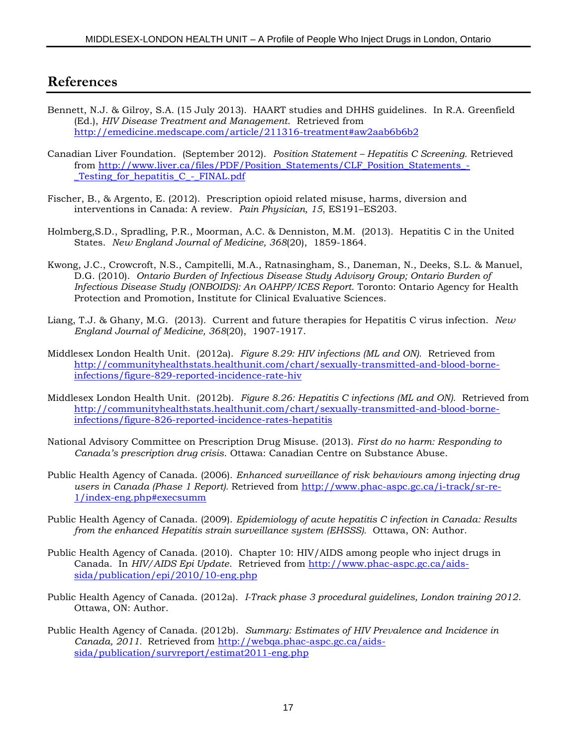### **References**

- Bennett, N.J. & Gilroy, S.A. (15 July 2013). HAART studies and DHHS guidelines. In R.A. Greenfield (Ed.), *HIV Disease Treatment and Management*. Retrieved from <http://emedicine.medscape.com/article/211316-treatment#aw2aab6b6b2>
- Canadian Liver Foundation. (September 2012). *Position Statement – Hepatitis C Screening*. Retrieved from [http://www.liver.ca/files/PDF/Position\\_Statements/CLF\\_Position\\_Statements\\_-](http://www.liver.ca/files/PDF/Position_Statements/CLF_Position_Statements_-_Testing_for_hepatitis_C_-_FINAL.pdf) Testing for hepatitis C - FINAL.pdf
- Fischer, B., & Argento, E. (2012). Prescription opioid related misuse, harms, diversion and interventions in Canada: A review. *Pain Physician, 15*, ES191–ES203.
- Holmberg,S.D., Spradling, P.R., Moorman, A.C. & Denniston, M.M. (2013). Hepatitis C in the United States. *New England Journal of Medicine, 368*(20), 1859-1864.
- Kwong, J.C., Crowcroft, N.S., Campitelli, M.A., Ratnasingham, S., Daneman, N., Deeks, S.L. & Manuel, D.G. (2010). *Ontario Burden of Infectious Disease Study Advisory Group; Ontario Burden of Infectious Disease Study (ONBOIDS): An OAHPP/ICES Report*. Toronto: Ontario Agency for Health Protection and Promotion, Institute for Clinical Evaluative Sciences.
- Liang, T.J. & Ghany, M.G. (2013). Current and future therapies for Hepatitis C virus infection. *New England Journal of Medicine, 368*(20), 1907-1917.
- Middlesex London Health Unit. (2012a). *Figure 8.29: HIV infections (ML and ON).* Retrieved from [http://communityhealthstats.healthunit.com/chart/sexually-transmitted-and-blood-borne](http://communityhealthstats.healthunit.com/chart/sexually-transmitted-and-blood-borne-infections/figure-829-reported-incidence-rate-hiv)[infections/figure-829-reported-incidence-rate-hiv](http://communityhealthstats.healthunit.com/chart/sexually-transmitted-and-blood-borne-infections/figure-829-reported-incidence-rate-hiv)
- Middlesex London Health Unit. (2012b). *Figure 8.26: Hepatitis C infections (ML and ON).* Retrieved from [http://communityhealthstats.healthunit.com/chart/sexually-transmitted-and-blood-borne](http://communityhealthstats.healthunit.com/chart/sexually-transmitted-and-blood-borne-infections/figure-826-reported-incidence-rates-hepatitis)[infections/figure-826-reported-incidence-rates-hepatitis](http://communityhealthstats.healthunit.com/chart/sexually-transmitted-and-blood-borne-infections/figure-826-reported-incidence-rates-hepatitis)
- National Advisory Committee on Prescription Drug Misuse. (2013). *First do no harm: Responding to Canada's prescription drug crisis*. Ottawa: Canadian Centre on Substance Abuse.
- Public Health Agency of Canada. (2006). *Enhanced surveillance of risk behaviours among injecting drug users in Canada (Phase 1 Report).* Retrieved from [http://www.phac-aspc.gc.ca/i-track/sr-re-](http://www.phac-aspc.gc.ca/i-track/sr-re-1/index-eng.php#execsumm)[1/index-eng.php#execsumm](http://www.phac-aspc.gc.ca/i-track/sr-re-1/index-eng.php#execsumm)
- Public Health Agency of Canada. (2009). *Epidemiology of acute hepatitis C infection in Canada: Results from the enhanced Hepatitis strain surveillance system (EHSSS).* Ottawa, ON: Author.
- Public Health Agency of Canada. (2010). Chapter 10: HIV/AIDS among people who inject drugs in Canada. In *HIV/AIDS Epi Update*. Retrieved from [http://www.phac-aspc.gc.ca/aids](http://www.phac-aspc.gc.ca/aids-sida/publication/epi/2010/10-eng.php)[sida/publication/epi/2010/10-eng.php](http://www.phac-aspc.gc.ca/aids-sida/publication/epi/2010/10-eng.php)
- Public Health Agency of Canada. (2012a). *I-Track phase 3 procedural guidelines, London training 2012*. Ottawa, ON: Author.
- Public Health Agency of Canada. (2012b). *Summary: Estimates of HIV Prevalence and Incidence in Canada, 2011.* Retrieved from [http://webqa.phac-aspc.gc.ca/aids](http://webqa.phac-aspc.gc.ca/aids-sida/publication/survreport/estimat2011-eng.php)[sida/publication/survreport/estimat2011-eng.php](http://webqa.phac-aspc.gc.ca/aids-sida/publication/survreport/estimat2011-eng.php)